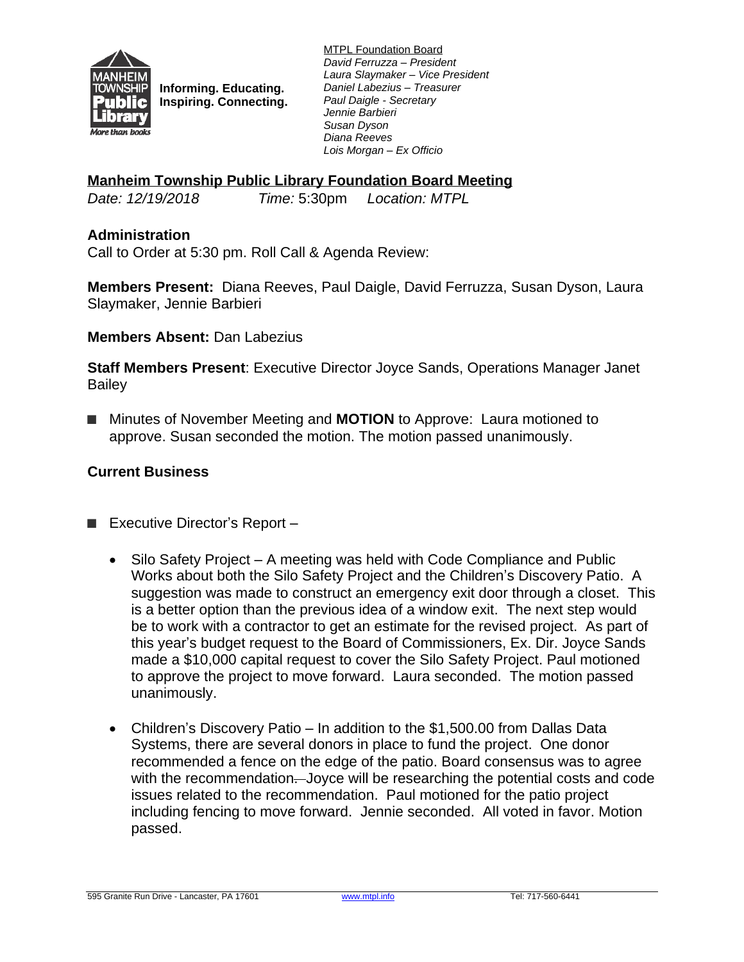

**Informing. Educating. Inspiring. Connecting.** MTPL Foundation Board *David Ferruzza – President Laura Slaymaker – Vice President Daniel Labezius – Treasurer Paul Daigle - Secretary Jennie Barbieri Susan Dyson Diana Reeves Lois Morgan – Ex Officio*

## **Manheim Township Public Library Foundation Board Meeting**

*Date: 12/19/2018 Time:* 5:30pm *Location: MTPL*

## **Administration**

Call to Order at 5:30 pm. Roll Call & Agenda Review:

**Members Present:** Diana Reeves, Paul Daigle, David Ferruzza, Susan Dyson, Laura Slaymaker, Jennie Barbieri

#### **Members Absent:** Dan Labezius

**Staff Members Present**: Executive Director Joyce Sands, Operations Manager Janet Bailey

■ Minutes of November Meeting and **MOTION** to Approve: Laura motioned to approve. Susan seconded the motion. The motion passed unanimously.

## **Current Business**

- Executive Director's Report
	- Silo Safety Project A meeting was held with Code Compliance and Public Works about both the Silo Safety Project and the Children's Discovery Patio. A suggestion was made to construct an emergency exit door through a closet. This is a better option than the previous idea of a window exit. The next step would be to work with a contractor to get an estimate for the revised project. As part of this year's budget request to the Board of Commissioners, Ex. Dir. Joyce Sands made a \$10,000 capital request to cover the Silo Safety Project. Paul motioned to approve the project to move forward. Laura seconded. The motion passed unanimously.
	- Children's Discovery Patio In addition to the \$1,500.00 from Dallas Data Systems, there are several donors in place to fund the project. One donor recommended a fence on the edge of the patio. Board consensus was to agree with the recommendation. Joyce will be researching the potential costs and code issues related to the recommendation. Paul motioned for the patio project including fencing to move forward. Jennie seconded. All voted in favor. Motion passed.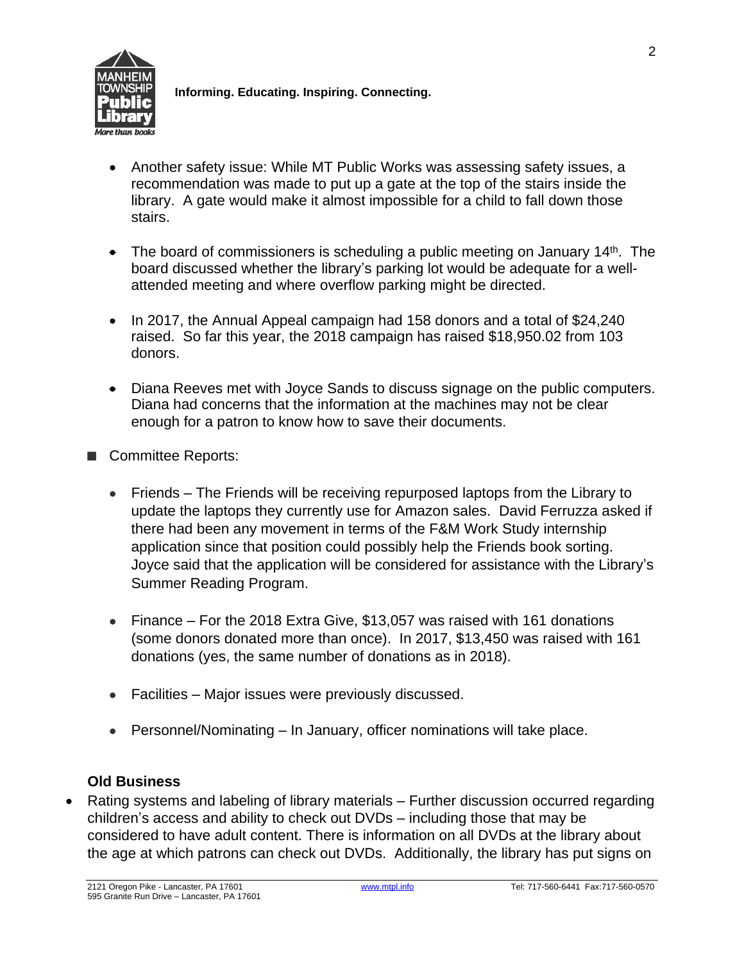

**Informing. Educating. Inspiring. Connecting.**

- Another safety issue: While MT Public Works was assessing safety issues, a recommendation was made to put up a gate at the top of the stairs inside the library. A gate would make it almost impossible for a child to fall down those stairs.
- The board of commissioners is scheduling a public meeting on January 14<sup>th</sup>. The board discussed whether the library's parking lot would be adequate for a wellattended meeting and where overflow parking might be directed.
- In 2017, the Annual Appeal campaign had 158 donors and a total of \$24,240 raised. So far this year, the 2018 campaign has raised \$18,950.02 from 103 donors.
- Diana Reeves met with Joyce Sands to discuss signage on the public computers. Diana had concerns that the information at the machines may not be clear enough for a patron to know how to save their documents.
- Committee Reports:
	- Friends The Friends will be receiving repurposed laptops from the Library to update the laptops they currently use for Amazon sales. David Ferruzza asked if there had been any movement in terms of the F&M Work Study internship application since that position could possibly help the Friends book sorting. Joyce said that the application will be considered for assistance with the Library's Summer Reading Program.
	- Finance For the 2018 Extra Give, \$13,057 was raised with 161 donations (some donors donated more than once). In 2017, \$13,450 was raised with 161 donations (yes, the same number of donations as in 2018).
	- Facilities Major issues were previously discussed.
	- Personnel/Nominating In January, officer nominations will take place.

# **Old Business**

 Rating systems and labeling of library materials – Further discussion occurred regarding children's access and ability to check out DVDs – including those that may be considered to have adult content. There is information on all DVDs at the library about the age at which patrons can check out DVDs. Additionally, the library has put signs on